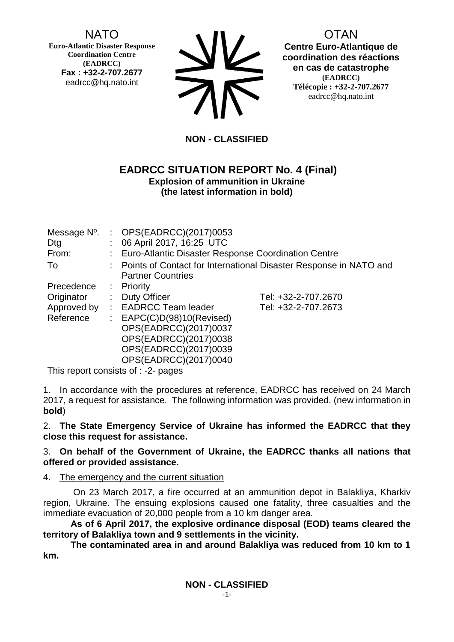# NATO

**Euro-Atlantic Disaster Response Coordination Centre (EADRCC) Fax : +32-2-707.2677** eadrcc@hq.nato.int



OTAN **Centre Euro-Atlantique de coordination des réactions en cas de catastrophe (EADRCC) Télécopie : +32-2-707.2677** eadrcc@hq.nato.int

# **NON - CLASSIFIED**

### **EADRCC SITUATION REPORT No. 4 (Final) Explosion of ammunition in Ukraine (the latest information in bold)**

| Dtg<br>From:<br>To                    |                      | Message $N^0$ . : OPS(EADRCC)(2017)0053<br>: 06 April 2017, 16:25 UTC<br>Euro-Atlantic Disaster Response Coordination Centre<br>: Points of Contact for International Disaster Response in NATO and<br><b>Partner Countries</b> |                                            |
|---------------------------------------|----------------------|---------------------------------------------------------------------------------------------------------------------------------------------------------------------------------------------------------------------------------|--------------------------------------------|
| Precedence<br>Originator<br>Reference | ÷.<br>$\mathbb{Z}^n$ | $:$ Priority<br><b>Duty Officer</b><br>Approved by : EADRCC Team leader<br>EAPC(C)D(98)10(Revised)<br>OPS(EADRCC)(2017)0037<br>OPS(EADRCC)(2017)0038<br>OPS(EADRCC)(2017)0039<br>OPS(EADRCC)(2017)0040                          | Tel: +32-2-707.2670<br>Tel: +32-2-707.2673 |

This report consists of : -2- pages

1. In accordance with the procedures at reference, EADRCC has received on 24 March 2017, a request for assistance. The following information was provided. (new information in **bold**)

2. **The State Emergency Service of Ukraine has informed the EADRCC that they close this request for assistance.**

### 3. **On behalf of the Government of Ukraine, the EADRCC thanks all nations that offered or provided assistance.**

## 4. The emergency and the current situation

 On 23 March 2017, a fire occurred at an ammunition depot in Balakliya, Kharkiv region, Ukraine. The ensuing explosions caused one fatality, three casualties and the immediate evacuation of 20,000 people from a 10 km danger area.

**As of 6 April 2017, the explosive ordinance disposal (EOD) teams cleared the territory of Balakliya town and 9 settlements in the vicinity.** 

**The contaminated area in and around Balakliya was reduced from 10 km to 1 km.**